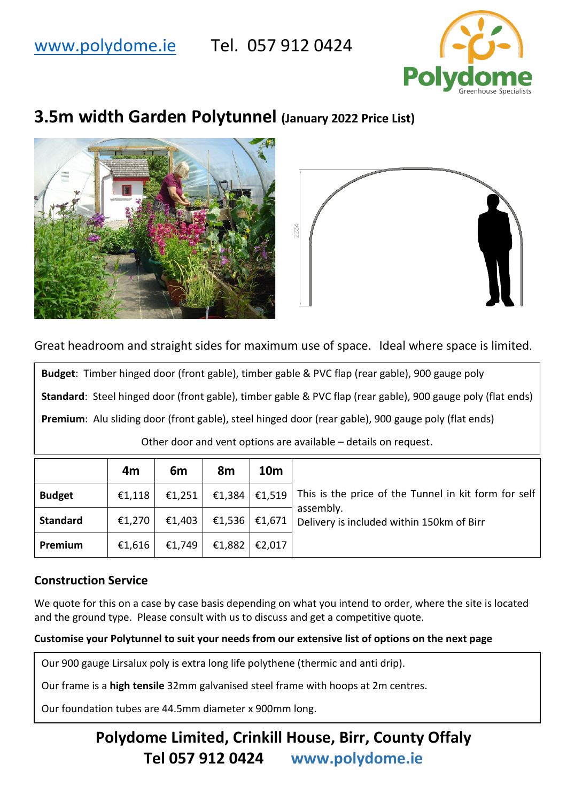# [www.polydome.ie](http://www.polydome.ie/) Tel. 057 912 0424



# **3.5m width Garden Polytunnel (January 2022 Price List)**





Great headroom and straight sides for maximum use of space. Ideal where space is limited.

**Budget**: Timber hinged door (front gable), timber gable & PVC flap (rear gable), 900 gauge poly **Standard**: Steel hinged door (front gable), timber gable & PVC flap (rear gable), 900 gauge poly (flat ends) **Premium**: Alu sliding door (front gable), steel hinged door (rear gable), 900 gauge poly (flat ends) Other door and vent options are available – details on request.

|                 | 4m     | 6m             | 8m                            | <b>10m</b>      |                                                                        |
|-----------------|--------|----------------|-------------------------------|-----------------|------------------------------------------------------------------------|
| <b>Budget</b>   | €1,118 | €1,251         |                               |                 | €1,384   €1,519   This is the price of the Tunnel in kit form for self |
| <b>Standard</b> | €1,270 | €1,403 $\vert$ | €1,536 $\vert$ €1,671 $\vert$ |                 | assembly.<br>Delivery is included within 150km of Birr                 |
| Premium         | €1,616 | €1,749         |                               | €1,882   €2,017 |                                                                        |

## **Construction Service**

We quote for this on a case by case basis depending on what you intend to order, where the site is located and the ground type. Please consult with us to discuss and get a competitive quote.

### **Customise your Polytunnel to suit your needs from our extensive list of options on the next page**

Our 900 gauge Lirsalux poly is extra long life polythene (thermic and anti drip).

Our frame is a **high tensile** 32mm galvanised steel frame with hoops at 2m centres.

Our foundation tubes are 44.5mm diameter x 900mm long.

## **Polydome Limited, Crinkill House, Birr, County Offaly Tel 057 912 0424 www.polydome.ie**